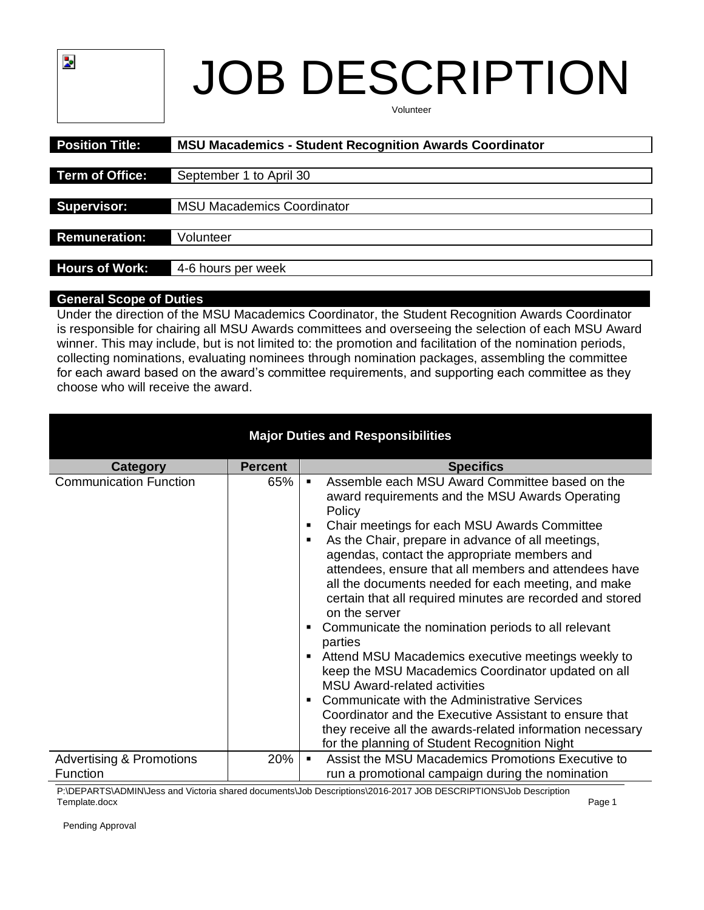# JOB DESCRIPTION Volunteer

| <b>Position Title:</b> | <b>MSU Macademics - Student Recognition Awards Coordinator</b> |
|------------------------|----------------------------------------------------------------|
|                        |                                                                |
| <b>Term of Office:</b> | September 1 to April 30                                        |
|                        |                                                                |
| <b>Supervisor:</b>     | <b>MSU Macademics Coordinator</b>                              |
|                        |                                                                |
| <b>Remuneration:</b>   | Volunteer                                                      |
|                        |                                                                |
| <b>Hours of Work:</b>  | 4-6 hours per week                                             |

## **General Scope of Duties**

þ.

Under the direction of the MSU Macademics Coordinator, the Student Recognition Awards Coordinator is responsible for chairing all MSU Awards committees and overseeing the selection of each MSU Award winner. This may include, but is not limited to: the promotion and facilitation of the nomination periods, collecting nominations, evaluating nominees through nomination packages, assembling the committee for each award based on the award's committee requirements, and supporting each committee as they choose who will receive the award.

| <b>Major Duties and Responsibilities</b> |                |                                                                                                                                                                                                                                                                                                                                                                                                                                                                                                                                                                                                                                                                                                                                                                                                                                                                                                                                          |  |  |  |  |
|------------------------------------------|----------------|------------------------------------------------------------------------------------------------------------------------------------------------------------------------------------------------------------------------------------------------------------------------------------------------------------------------------------------------------------------------------------------------------------------------------------------------------------------------------------------------------------------------------------------------------------------------------------------------------------------------------------------------------------------------------------------------------------------------------------------------------------------------------------------------------------------------------------------------------------------------------------------------------------------------------------------|--|--|--|--|
| Category                                 | <b>Percent</b> | <b>Specifics</b>                                                                                                                                                                                                                                                                                                                                                                                                                                                                                                                                                                                                                                                                                                                                                                                                                                                                                                                         |  |  |  |  |
| <b>Communication Function</b>            | 65%            | Assemble each MSU Award Committee based on the<br>٠<br>award requirements and the MSU Awards Operating<br>Policy<br>Chair meetings for each MSU Awards Committee<br>٠<br>As the Chair, prepare in advance of all meetings,<br>٠<br>agendas, contact the appropriate members and<br>attendees, ensure that all members and attendees have<br>all the documents needed for each meeting, and make<br>certain that all required minutes are recorded and stored<br>on the server<br>Communicate the nomination periods to all relevant<br>٠<br>parties<br>Attend MSU Macademics executive meetings weekly to<br>٠<br>keep the MSU Macademics Coordinator updated on all<br><b>MSU Award-related activities</b><br>Communicate with the Administrative Services<br>٠<br>Coordinator and the Executive Assistant to ensure that<br>they receive all the awards-related information necessary<br>for the planning of Student Recognition Night |  |  |  |  |
| <b>Advertising &amp; Promotions</b>      | 20%            | Assist the MSU Macademics Promotions Executive to<br>$\blacksquare$                                                                                                                                                                                                                                                                                                                                                                                                                                                                                                                                                                                                                                                                                                                                                                                                                                                                      |  |  |  |  |
| Function                                 |                | run a promotional campaign during the nomination                                                                                                                                                                                                                                                                                                                                                                                                                                                                                                                                                                                                                                                                                                                                                                                                                                                                                         |  |  |  |  |

P:\DEPARTS\ADMIN\Jess and Victoria shared documents\Job Descriptions\2016-2017 JOB DESCRIPTIONS\Job Description<br>Template.docx Template.docx Page 1